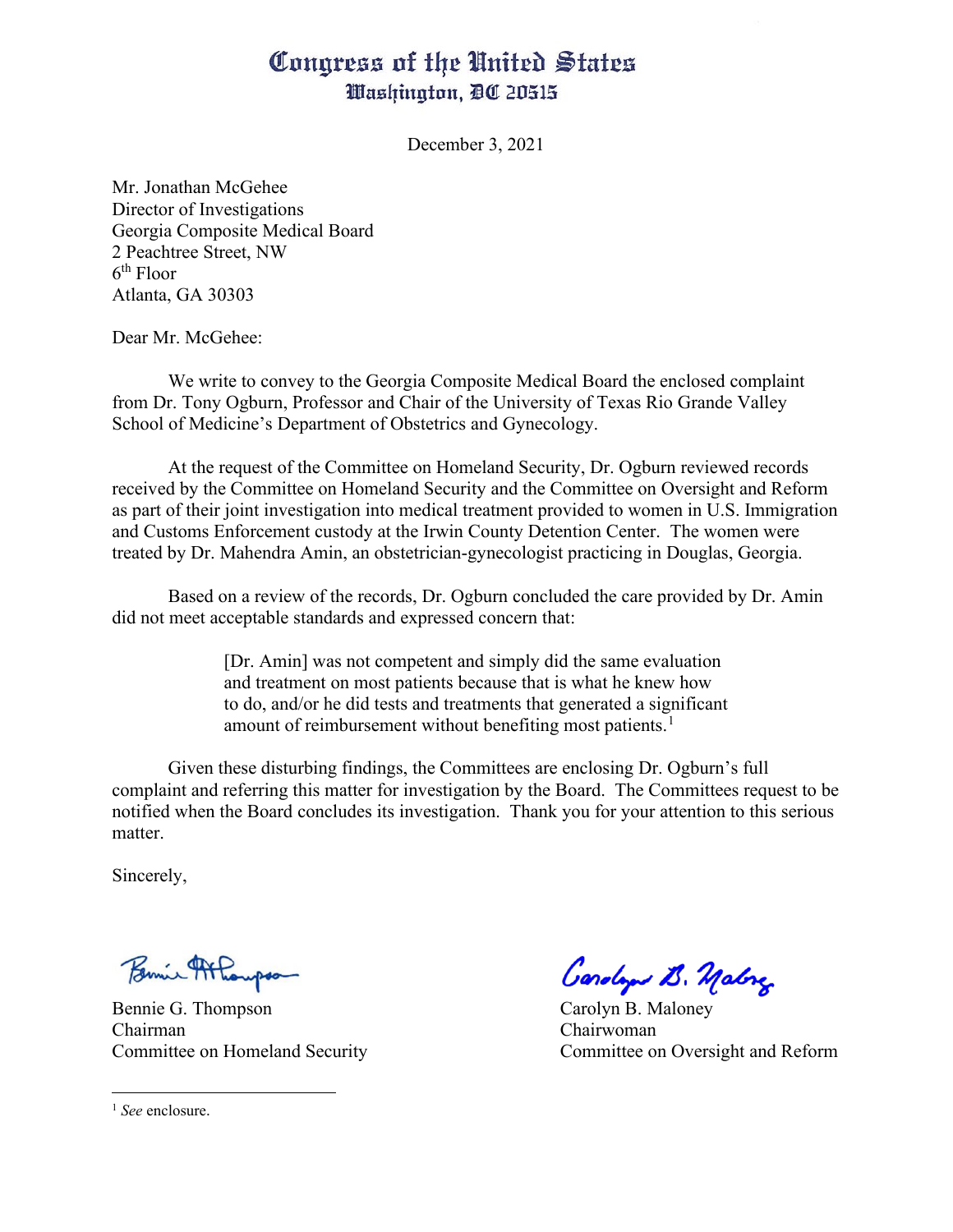## Congress of the United States Washington, DC 20515

December 3, 2021

Mr. Jonathan McGehee Director of Investigations Georgia Composite Medical Board 2 Peachtree Street, NW 6th Floor Atlanta, GA 30303

Dear Mr. McGehee:

We write to convey to the Georgia Composite Medical Board the enclosed complaint from Dr. Tony Ogburn, Professor and Chair of the University of Texas Rio Grande Valley School of Medicine's Department of Obstetrics and Gynecology.

At the request of the Committee on Homeland Security, Dr. Ogburn reviewed records received by the Committee on Homeland Security and the Committee on Oversight and Reform as part of their joint investigation into medical treatment provided to women in U.S. Immigration and Customs Enforcement custody at the Irwin County Detention Center. The women were treated by Dr. Mahendra Amin, an obstetrician-gynecologist practicing in Douglas, Georgia.

Based on a review of the records, Dr. Ogburn concluded the care provided by Dr. Amin did not meet acceptable standards and expressed concern that:

> [Dr. Amin] was not competent and simply did the same evaluation and treatment on most patients because that is what he knew how to do, and/or he did tests and treatments that generated a significant amount of reimbursement without benefiting most patients.<sup>[1](#page-0-0)</sup>

Given these disturbing findings, the Committees are enclosing Dr. Ogburn's full complaint and referring this matter for investigation by the Board. The Committees request to be notified when the Board concludes its investigation. Thank you for your attention to this serious matter.

Sincerely,

Chairman Chairwoman

Bennie <del>Malongson</del> Carolyn B. Malong

Committee on Homeland Security Committee on Oversight and Reform

<span id="page-0-0"></span><sup>1</sup> *See* enclosure.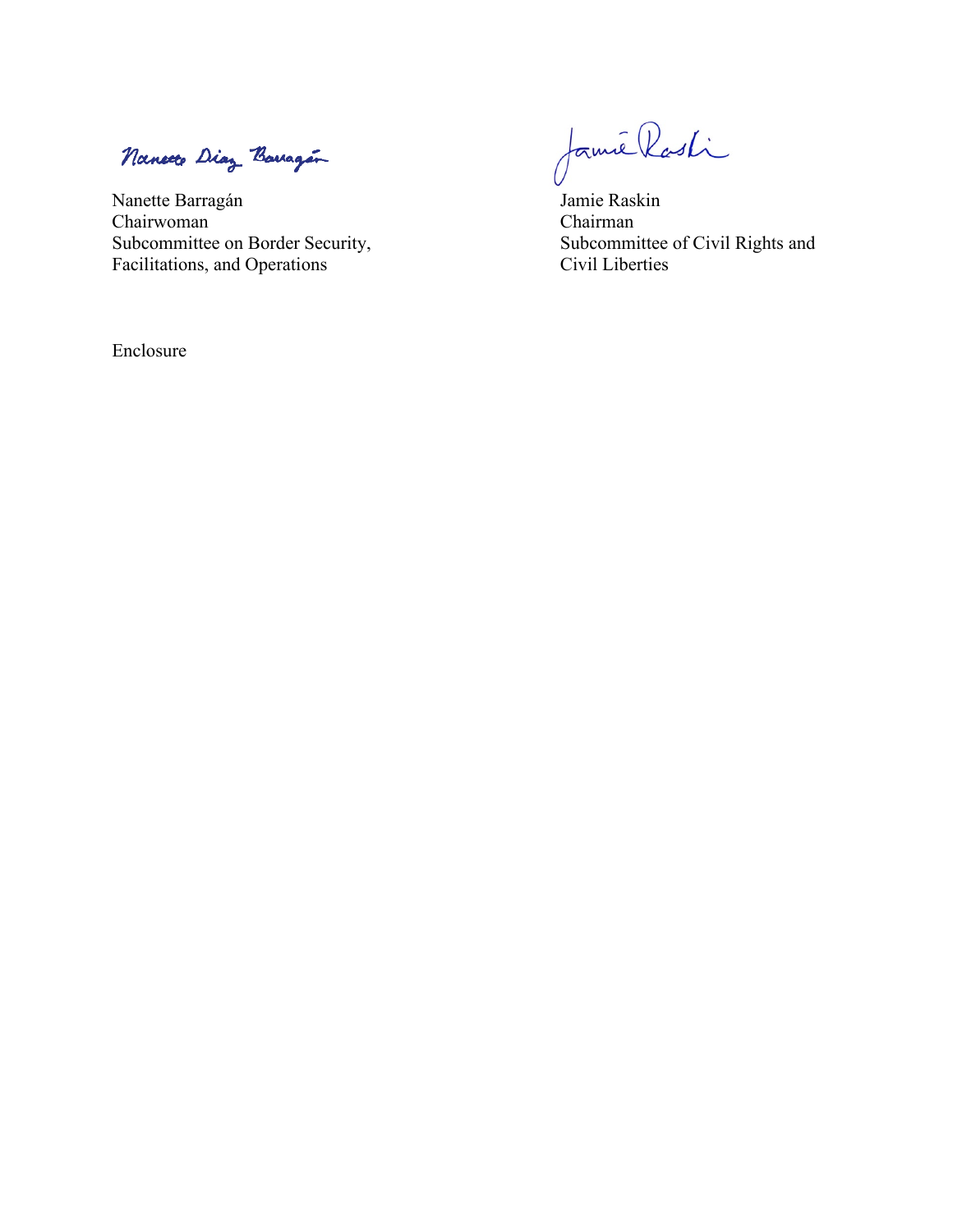Nanceto Diaz Barragan

Chairwoman<br>Subcommittee on Border Security, Facilitations, and Operations Civil Liberties

Enclosure

Nancete Diez Bourgoin<br>Nanette Barragán Jamie Raskin<br>Chairwoman Chairman

Subcommittee of Civil Rights and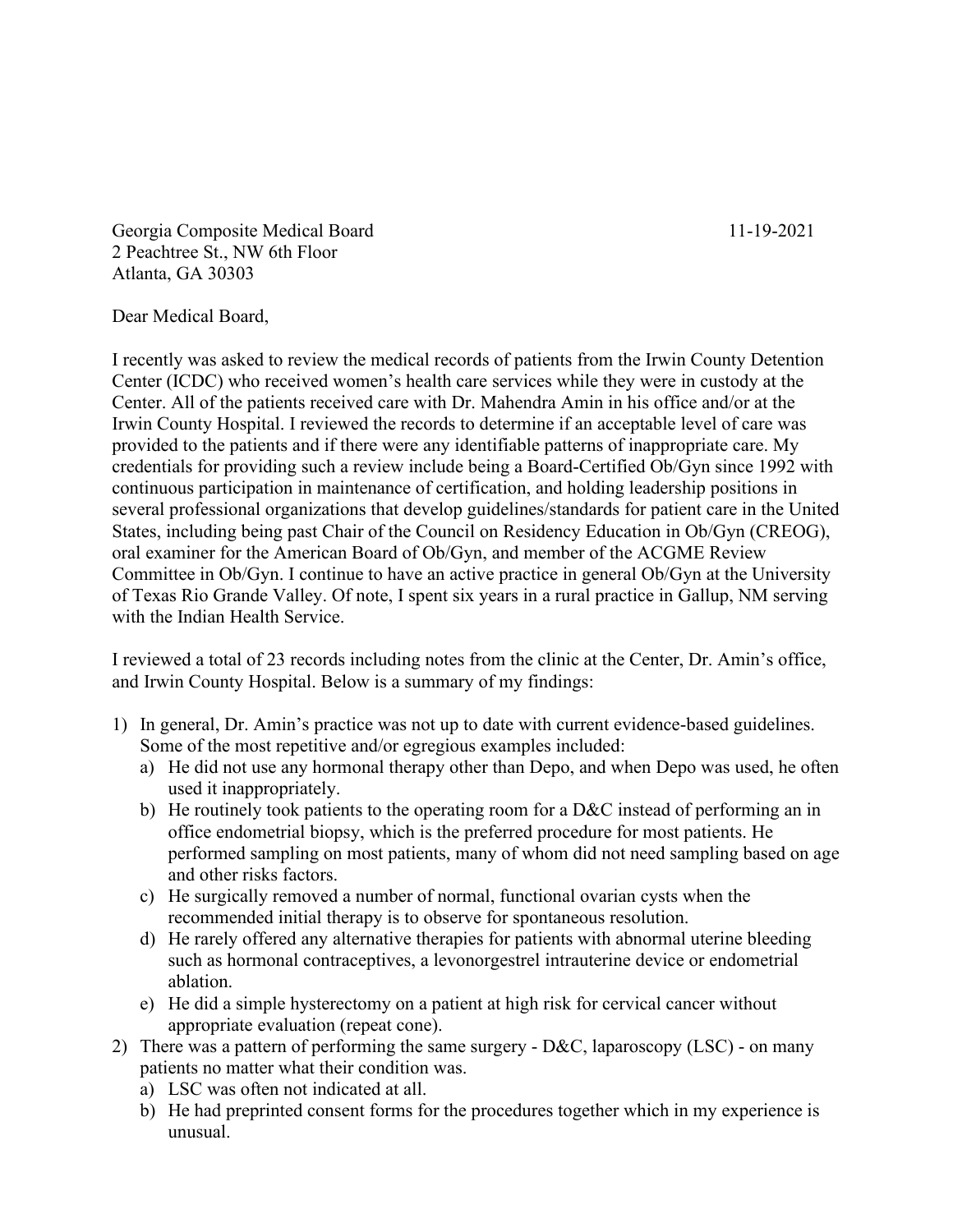Georgia Composite Medical Board 11-19-2021 2 Peachtree St., NW 6th Floor Atlanta, GA 30303

Dear Medical Board,

I recently was asked to review the medical records of patients from the Irwin County Detention Center (ICDC) who received women's health care services while they were in custody at the Center. All of the patients received care with Dr. Mahendra Amin in his office and/or at the Irwin County Hospital. I reviewed the records to determine if an acceptable level of care was provided to the patients and if there were any identifiable patterns of inappropriate care. My credentials for providing such a review include being a Board-Certified Ob/Gyn since 1992 with continuous participation in maintenance of certification, and holding leadership positions in several professional organizations that develop guidelines/standards for patient care in the United States, including being past Chair of the Council on Residency Education in Ob/Gyn (CREOG), oral examiner for the American Board of Ob/Gyn, and member of the ACGME Review Committee in Ob/Gyn. I continue to have an active practice in general Ob/Gyn at the University of Texas Rio Grande Valley. Of note, I spent six years in a rural practice in Gallup, NM serving with the Indian Health Service.

I reviewed a total of 23 records including notes from the clinic at the Center, Dr. Amin's office, and Irwin County Hospital. Below is a summary of my findings:

- 1) In general, Dr. Amin's practice was not up to date with current evidence-based guidelines. Some of the most repetitive and/or egregious examples included:
	- a) He did not use any hormonal therapy other than Depo, and when Depo was used, he often used it inappropriately.
	- b) He routinely took patients to the operating room for a D&C instead of performing an in office endometrial biopsy, which is the preferred procedure for most patients. He performed sampling on most patients, many of whom did not need sampling based on age and other risks factors.
	- c) He surgically removed a number of normal, functional ovarian cysts when the recommended initial therapy is to observe for spontaneous resolution.
	- d) He rarely offered any alternative therapies for patients with abnormal uterine bleeding such as hormonal contraceptives, a levonorgestrel intrauterine device or endometrial ablation.
	- e) He did a simple hysterectomy on a patient at high risk for cervical cancer without appropriate evaluation (repeat cone).
- 2) There was a pattern of performing the same surgery D&C, laparoscopy (LSC) on many patients no matter what their condition was.
	- a) LSC was often not indicated at all.
	- b) He had preprinted consent forms for the procedures together which in my experience is unusual.